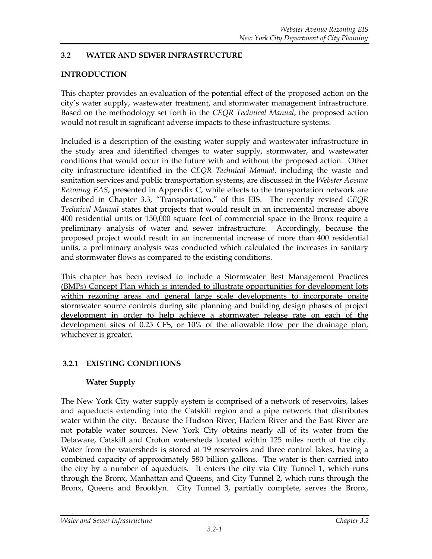# **3.2 WATER AND SEWER INFRASTRUCTURE**

# **INTRODUCTION**

This chapter provides an evaluation of the potential effect of the proposed action on the city's water supply, wastewater treatment, and stormwater management infrastructure. Based on the methodology set forth in the *CEQR Technical Manual*, the proposed action would not result in significant adverse impacts to these infrastructure systems.

Included is a description of the existing water supply and wastewater infrastructure in the study area and identified changes to water supply, stormwater, and wastewater conditions that would occur in the future with and without the proposed action. Other city infrastructure identified in the *CEQR Technical Manual*, including the waste and sanitation services and public transportation systems, are discussed in the *Webster Avenue Rezoning EAS*, presented in Appendix C, while effects to the transportation network are described in Chapter 3.3, "Transportation," of this EIS. The recently revised *CEQR Technical Manual* states that projects that would result in an incremental increase above 400 residential units or 150,000 square feet of commercial space in the Bronx require a preliminary analysis of water and sewer infrastructure. Accordingly, because the proposed project would result in an incremental increase of more than 400 residential units, a preliminary analysis was conducted which calculated the increases in sanitary and stormwater flows as compared to the existing conditions.

This chapter has been revised to include a Stormwater Best Management Practices (BMPs) Concept Plan which is intended to illustrate opportunities for development lots within rezoning areas and general large scale developments to incorporate onsite stormwater source controls during site planning and building design phases of project development in order to help achieve a stormwater release rate on each of the development sites of 0.25 CFS, or 10% of the allowable flow per the drainage plan, whichever is greater.

# **3.2.1 EXISTING CONDITIONS**

# **Water Supply**

The New York City water supply system is comprised of a network of reservoirs, lakes and aqueducts extending into the Catskill region and a pipe network that distributes water within the city. Because the Hudson River, Harlem River and the East River are not potable water sources, New York City obtains nearly all of its water from the Delaware, Catskill and Croton watersheds located within 125 miles north of the city. Water from the watersheds is stored at 19 reservoirs and three control lakes, having a combined capacity of approximately 580 billion gallons. The water is then carried into the city by a number of aqueducts. It enters the city via City Tunnel 1, which runs through the Bronx, Manhattan and Queens, and City Tunnel 2, which runs through the Bronx, Queens and Brooklyn. City Tunnel 3, partially complete, serves the Bronx,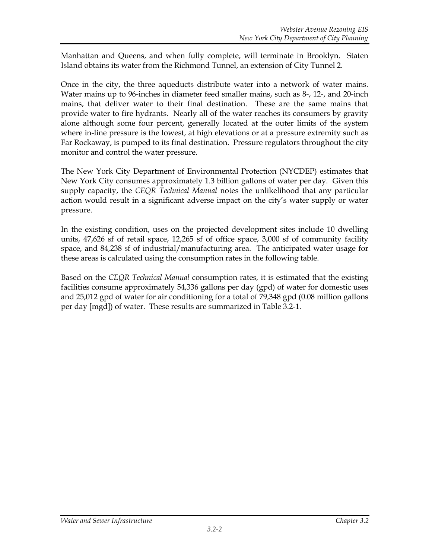Manhattan and Queens, and when fully complete, will terminate in Brooklyn. Staten Island obtains its water from the Richmond Tunnel, an extension of City Tunnel 2.

Once in the city, the three aqueducts distribute water into a network of water mains. Water mains up to 96-inches in diameter feed smaller mains, such as 8-, 12-, and 20-inch mains, that deliver water to their final destination. These are the same mains that provide water to fire hydrants. Nearly all of the water reaches its consumers by gravity alone although some four percent, generally located at the outer limits of the system where in-line pressure is the lowest, at high elevations or at a pressure extremity such as Far Rockaway, is pumped to its final destination. Pressure regulators throughout the city monitor and control the water pressure.

The New York City Department of Environmental Protection (NYCDEP) estimates that New York City consumes approximately 1.3 billion gallons of water per day. Given this supply capacity, the *CEQR Technical Manual* notes the unlikelihood that any particular action would result in a significant adverse impact on the city's water supply or water pressure.

In the existing condition, uses on the projected development sites include 10 dwelling units, 47,626 sf of retail space, 12,265 sf of office space, 3,000 sf of community facility space, and 84,238 sf of industrial/manufacturing area. The anticipated water usage for these areas is calculated using the consumption rates in the following table.

Based on the *CEQR Technical Manual* consumption rates*,* it is estimated that the existing facilities consume approximately 54,336 gallons per day (gpd) of water for domestic uses and 25,012 gpd of water for air conditioning for a total of 79,348 gpd (0.08 million gallons per day [mgd]) of water. These results are summarized in Table 3.2-1.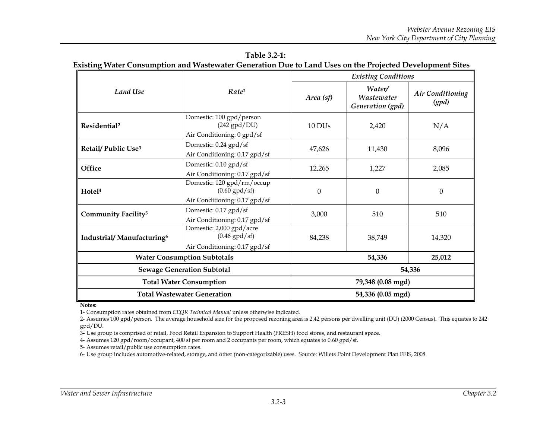|                                   |                                                                                |                   | <b>Existing Conditions</b>               |                           |  |  |
|-----------------------------------|--------------------------------------------------------------------------------|-------------------|------------------------------------------|---------------------------|--|--|
| <b>Land Use</b>                   | Rate <sup>1</sup>                                                              | Area (sf)         | Water/<br>Wastewater<br>Generation (gpd) | Air Conditioning<br>(gpd) |  |  |
| Residential <sup>2</sup>          | Domestic: 100 gpd/person<br>$(242$ gpd/DU)<br>Air Conditioning: 0 gpd/sf       | 10 DUs            | 2,420                                    | N/A                       |  |  |
| Retail/ Public Use <sup>3</sup>   | Domestic: 0.24 gpd/sf<br>Air Conditioning: 0.17 gpd/sf                         | 47,626            | 11,430                                   | 8,096                     |  |  |
| Office                            | Domestic: 0.10 gpd/sf<br>Air Conditioning: 0.17 gpd/sf                         | 12,265            | 1,227                                    | 2,085                     |  |  |
| Hotel <sup>4</sup>                | Domestic: 120 gpd/rm/occup<br>$(0.60$ gpd/sf)<br>Air Conditioning: 0.17 gpd/sf | $\boldsymbol{0}$  | $\mathbf{0}$                             | $\theta$                  |  |  |
| Community Facility <sup>5</sup>   | Domestic: 0.17 gpd/sf<br>Air Conditioning: 0.17 gpd/sf                         | 3,000             | 510                                      | 510                       |  |  |
| Industrial/Manufacturing6         | Domestic: 2,000 gpd/acre<br>$(0.46$ gpd/sf)<br>Air Conditioning: 0.17 gpd/sf   | 84,238            | 38,749                                   | 14,320                    |  |  |
|                                   | <b>Water Consumption Subtotals</b>                                             |                   | 54,336                                   | 25,012                    |  |  |
| <b>Sewage Generation Subtotal</b> |                                                                                | 54,336            |                                          |                           |  |  |
|                                   | <b>Total Water Consumption</b>                                                 |                   | 79,348 (0.08 mgd)                        |                           |  |  |
|                                   | <b>Total Wastewater Generation</b>                                             | 54,336 (0.05 mgd) |                                          |                           |  |  |

**Table 3.2-1: Existing Water Consumption and Wastewater Generation Due to Land Uses on the Projected Development Sites**

**Notes:**

1- Consumption rates obtained from *CEQR Technical Manual* unless otherwise indicated.

2- Assumes 100 gpd/person. The average household size for the proposed rezoning area is 2.42 persons per dwelling unit (DU) (2000 Census). This equates to 242 gpd/DU.

3- Use group is comprised of retail, Food Retail Expansion to Support Health (FRESH) food stores, and restaurant space.

4- Assumes 120 gpd/room/occupant, 400 sf per room and 2 occupants per room, which equates to 0.60 gpd/sf.

5- Assumes retail/public use consumption rates.

6- Use group includes automotive-related, storage, and other (non-categorizable) uses. Source: Willets Point Development Plan FEIS, 2008.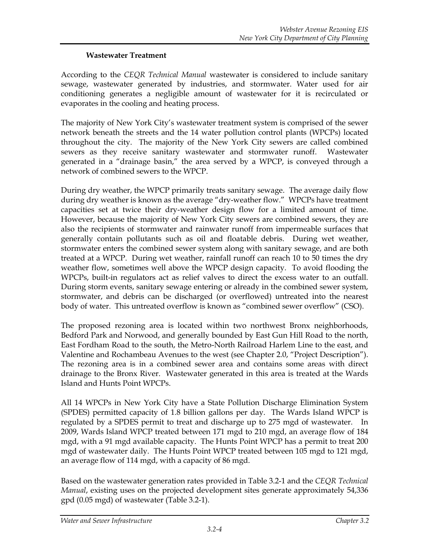# **Wastewater Treatment**

According to the *CEQR Technical Manual* wastewater is considered to include sanitary sewage, wastewater generated by industries, and stormwater. Water used for air conditioning generates a negligible amount of wastewater for it is recirculated or evaporates in the cooling and heating process.

The majority of New York City's wastewater treatment system is comprised of the sewer network beneath the streets and the 14 water pollution control plants (WPCPs) located throughout the city. The majority of the New York City sewers are called combined sewers as they receive sanitary wastewater and stormwater runoff. Wastewater generated in a "drainage basin," the area served by a WPCP, is conveyed through a network of combined sewers to the WPCP.

During dry weather, the WPCP primarily treats sanitary sewage. The average daily flow during dry weather is known as the average "dry-weather flow." WPCPs have treatment capacities set at twice their dry-weather design flow for a limited amount of time. However, because the majority of New York City sewers are combined sewers, they are also the recipients of stormwater and rainwater runoff from impermeable surfaces that generally contain pollutants such as oil and floatable debris. During wet weather, stormwater enters the combined sewer system along with sanitary sewage, and are both treated at a WPCP. During wet weather, rainfall runoff can reach 10 to 50 times the dry weather flow, sometimes well above the WPCP design capacity. To avoid flooding the WPCPs, built-in regulators act as relief valves to direct the excess water to an outfall. During storm events, sanitary sewage entering or already in the combined sewer system, stormwater, and debris can be discharged (or overflowed) untreated into the nearest body of water. This untreated overflow is known as "combined sewer overflow" (CSO).

The proposed rezoning area is located within two northwest Bronx neighborhoods, Bedford Park and Norwood, and generally bounded by East Gun Hill Road to the north, East Fordham Road to the south, the Metro-North Railroad Harlem Line to the east, and Valentine and Rochambeau Avenues to the west (see Chapter 2.0, "Project Description"). The rezoning area is in a combined sewer area and contains some areas with direct drainage to the Bronx River. Wastewater generated in this area is treated at the Wards Island and Hunts Point WPCPs.

All 14 WPCPs in New York City have a State Pollution Discharge Elimination System (SPDES) permitted capacity of 1.8 billion gallons per day. The Wards Island WPCP is regulated by a SPDES permit to treat and discharge up to 275 mgd of wastewater. In 2009, Wards Island WPCP treated between 171 mgd to 210 mgd, an average flow of 184 mgd, with a 91 mgd available capacity. The Hunts Point WPCP has a permit to treat 200 mgd of wastewater daily. The Hunts Point WPCP treated between 105 mgd to 121 mgd, an average flow of 114 mgd, with a capacity of 86 mgd.

Based on the wastewater generation rates provided in Table 3.2-1 and the *CEQR Technical Manual*, existing uses on the projected development sites generate approximately 54,336 gpd (0.05 mgd) of wastewater (Table 3.2-1).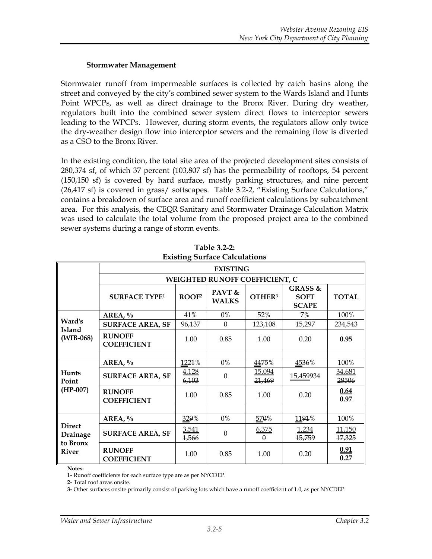#### **Stormwater Management**

Stormwater runoff from impermeable surfaces is collected by catch basins along the street and conveyed by the city's combined sewer system to the Wards Island and Hunts Point WPCPs, as well as direct drainage to the Bronx River. During dry weather, regulators built into the combined sewer system direct flows to interceptor sewers leading to the WPCPs. However, during storm events, the regulators allow only twice the dry-weather design flow into interceptor sewers and the remaining flow is diverted as a CSO to the Bronx River.

In the existing condition, the total site area of the projected development sites consists of 280,374 sf, of which 37 percent (103,807 sf) has the permeability of rooftops, 54 percent (150,150 sf) is covered by hard surface, mostly parking structures, and nine percent (26,417 sf) is covered in grass/ softscapes. Table 3.2-2, "Existing Surface Calculations," contains a breakdown of surface area and runoff coefficient calculations by subcatchment area. For this analysis, the CEQR Sanitary and Stormwater Drainage Calculation Matrix was used to calculate the total volume from the proposed project area to the combined sewer systems during a range of storm events.

|                           |                                     |                   | <b>EXISTING</b>                       |                         |                                                   |                         |
|---------------------------|-------------------------------------|-------------------|---------------------------------------|-------------------------|---------------------------------------------------|-------------------------|
|                           |                                     |                   | <b>WEIGHTED RUNOFF COEFFICIENT, C</b> |                         |                                                   |                         |
|                           | <b>SURFACE TYPE1</b>                | ROOF <sup>2</sup> | PAVT $\&$<br><b>WALKS</b>             | <b>OTHER3</b>           | <b>GRASS &amp;</b><br><b>SOFT</b><br><b>SCAPE</b> | <b>TOTAL</b>            |
|                           | AREA, $\%$                          | 41%               | 0%                                    | 52%                     | 7%                                                | 100%                    |
| Ward's                    | <b>SURFACE AREA, SF</b>             | 96,137            | $\Omega$                              | 123,108                 | 15,297                                            | 234,543                 |
| Island<br>$(WIB-068)$     | <b>RUNOFF</b><br><b>COEFFICIENT</b> | 1.00              | 0.85                                  | 1.00                    | 0.20                                              | 0.95                    |
|                           |                                     |                   |                                       |                         |                                                   |                         |
|                           | AREA, $\%$                          | 1221%             | 0%                                    | 4475%                   | 4536%                                             | 100%                    |
| Hunts<br>Point            | <b>SURFACE AREA, SF</b>             | 4,128<br>6,103    | $\theta$                              | <u>15,094</u><br>21,469 | 15,459934                                         | 34,681<br>28506         |
| $(HP-007)$                | <b>RUNOFF</b><br><b>COEFFICIENT</b> | 1.00              | 0.85                                  | 1.00                    | 0.20                                              | 0.64<br>0.97            |
|                           |                                     |                   |                                       |                         |                                                   |                         |
|                           | AREA, $\%$                          | 329%              | 0%                                    | 570%                    | 1191%                                             | 100%                    |
| <b>Direct</b><br>Drainage | <b>SURFACE AREA, SF</b>             | 3,541<br>1,566    | $\Omega$                              | 6,375<br>$\theta$       | 1,234<br><del>15,759</del>                        | <u>11,150</u><br>17,325 |
| to Bronx<br><b>River</b>  | <b>RUNOFF</b><br><b>COEFFICIENT</b> | 1.00              | 0.85                                  | 1.00                    | 0.20                                              | <u>0.91</u><br>0.27     |

**Table 3.2-2: Existing Surface Calculations**

**Notes:**

**1-** Runoff coefficients for each surface type are as per NYCDEP.

**2-** Total roof areas onsite.

**3-** Other surfaces onsite primarily consist of parking lots which have a runoff coefficient of 1.0, as per NYCDEP.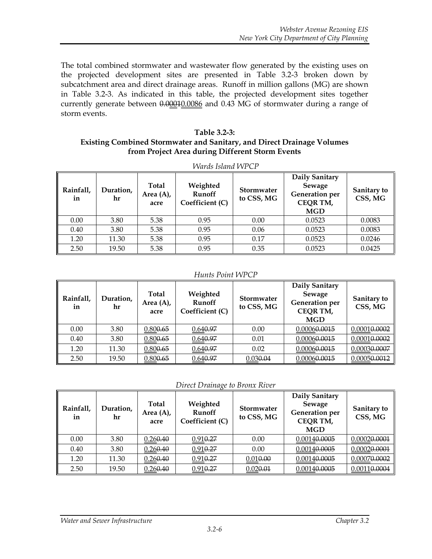The total combined stormwater and wastewater flow generated by the existing uses on the projected development sites are presented in Table 3.2-3 broken down by subcatchment area and direct drainage areas. Runoff in million gallons (MG) are shown in Table 3.2-3. As indicated in this table, the projected development sites together currently generate between 0.00010.0086 and 0.43 MG of stormwater during a range of storm events.

#### **Table 3.2-3: Existing Combined Stormwater and Sanitary, and Direct Drainage Volumes from Project Area during Different Storm Events**

| Rainfall,<br>in | Duration,<br>hr | Total<br>Area $(A)$ ,<br>acre | Weighted<br>Runoff<br>Coefficient (C) | Stormwater<br>to CSS, MG | Daily Sanitary<br>Sewage<br><b>Generation</b> per<br>CEQR TM,<br><b>MGD</b> | Sanitary to<br>CSS, MG |
|-----------------|-----------------|-------------------------------|---------------------------------------|--------------------------|-----------------------------------------------------------------------------|------------------------|
| 0.00            | 3.80            | 5.38                          | 0.95                                  | 0.00                     | 0.0523                                                                      | 0.0083                 |
| 0.40            | 3.80            | 5.38                          | 0.95                                  | 0.06                     | 0.0523                                                                      | 0.0083                 |
| 1.20            | 11.30           | 5.38                          | 0.95                                  | 0.17                     | 0.0523                                                                      | 0.0246                 |
| 2.50            | 19.50           | 5.38                          | 0.95                                  | 0.35                     | 0.0523                                                                      | 0.0425                 |

*Wards Island WPCP*

#### *Hunts Point WPCP*

| Rainfall,<br>in | Duration,<br>hr | <b>Total</b><br>Area $(A)$ ,<br>acre | Weighted<br>Runoff<br>Coefficient (C) | <b>Stormwater</b><br>to CSS, MG | Daily Sanitary<br>Sewage<br>Generation per<br>CEQR TM,<br><b>MGD</b> | Sanitary to<br>CSS, MG |
|-----------------|-----------------|--------------------------------------|---------------------------------------|---------------------------------|----------------------------------------------------------------------|------------------------|
| 0.00            | 3.80            | 0.800.65                             | 0.640.97                              | 0.00                            | 0.00060.0015                                                         | 0.00010.0002           |
| 0.40            | 3.80            | 0.800.65                             | 0.640.97                              | 0.01                            | 0.00060.0015                                                         | 0.00010.0002           |
| 1.20            | 11.30           | 0.800.65                             | 0.640.97                              | 0.02                            | 0.00060.0015                                                         | 0.00030.0007           |
| 2.50            | 19.50           | 0.800.65                             | 0.640.97                              | 0.030.04                        | 0.00060.0015                                                         | 0.00050.0012           |

*Direct Drainage to Bronx River*

| Rainfall,<br>in | Duration,<br>hr | <b>Total</b><br>Area $(A)$ ,<br>acre | Weighted<br>Runoff<br>Coefficient (C) | <b>Stormwater</b><br>to CSS, MG | Daily Sanitary<br>Sewage<br><b>Generation</b> per<br><b>CEQR TM,</b><br><b>MGD</b> | Sanitary to<br>CSS, MG |
|-----------------|-----------------|--------------------------------------|---------------------------------------|---------------------------------|------------------------------------------------------------------------------------|------------------------|
| 0.00            | 3.80            | 0.260.40                             | $0.910 - 27$                          | 0.00                            | 0.00140.0005                                                                       | 0.00020.0001           |
| 0.40            | 3.80            | 0.260.40                             | 0.910.27                              | 0.00                            | 0.00140.0005                                                                       | 0.00020.0001           |
| 1.20            | 11.30           | 0.260.40                             | $0.910 - 27$                          | 0.010.00                        | 0.00140.0005                                                                       | 0.00070.0002           |
| 2.50            | 19.50           | 0.260,40                             | $0.910 - 27$                          | 0.020.01                        | 0.00140.0005                                                                       | 0.00110.0004           |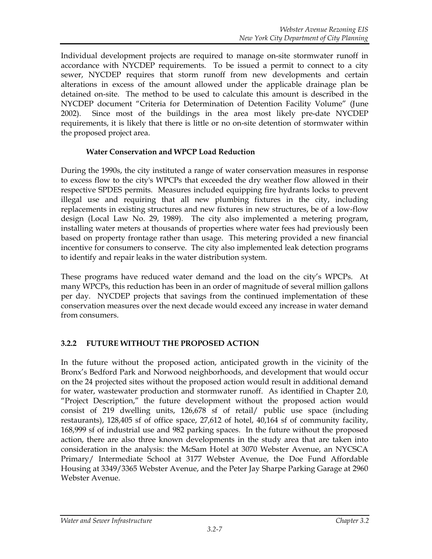Individual development projects are required to manage on-site stormwater runoff in accordance with NYCDEP requirements. To be issued a permit to connect to a city sewer, NYCDEP requires that storm runoff from new developments and certain alterations in excess of the amount allowed under the applicable drainage plan be detained on-site. The method to be used to calculate this amount is described in the NYCDEP document "Criteria for Determination of Detention Facility Volume" (June 2002). Since most of the buildings in the area most likely pre-date NYCDEP requirements, it is likely that there is little or no on-site detention of stormwater within the proposed project area.

## **Water Conservation and WPCP Load Reduction**

During the 1990s, the city instituted a range of water conservation measures in response to excess flow to the city's WPCPs that exceeded the dry weather flow allowed in their respective SPDES permits. Measures included equipping fire hydrants locks to prevent illegal use and requiring that all new plumbing fixtures in the city, including replacements in existing structures and new fixtures in new structures, be of a low-flow design (Local Law No. 29, 1989). The city also implemented a metering program, installing water meters at thousands of properties where water fees had previously been based on property frontage rather than usage. This metering provided a new financial incentive for consumers to conserve. The city also implemented leak detection programs to identify and repair leaks in the water distribution system.

These programs have reduced water demand and the load on the city's WPCPs. At many WPCPs, this reduction has been in an order of magnitude of several million gallons per day. NYCDEP projects that savings from the continued implementation of these conservation measures over the next decade would exceed any increase in water demand from consumers.

# **3.2.2 FUTURE WITHOUT THE PROPOSED ACTION**

In the future without the proposed action, anticipated growth in the vicinity of the Bronx's Bedford Park and Norwood neighborhoods, and development that would occur on the 24 projected sites without the proposed action would result in additional demand for water, wastewater production and stormwater runoff. As identified in Chapter 2.0, "Project Description," the future development without the proposed action would consist of 219 dwelling units, 126,678 sf of retail/ public use space (including restaurants), 128,405 sf of office space, 27,612 of hotel, 40,164 sf of community facility, 168,999 sf of industrial use and 982 parking spaces. In the future without the proposed action, there are also three known developments in the study area that are taken into consideration in the analysis: the McSam Hotel at 3070 Webster Avenue, an NYCSCA Primary/ Intermediate School at 3177 Webster Avenue, the Doe Fund Affordable Housing at 3349/3365 Webster Avenue, and the Peter Jay Sharpe Parking Garage at 2960 Webster Avenue.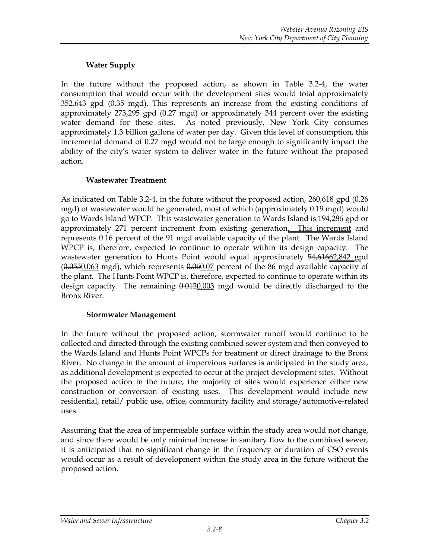# **Water Supply**

In the future without the proposed action, as shown in Table 3.2-4, the water consumption that would occur with the development sites would total approximately 352,643 gpd (0.35 mgd). This represents an increase from the existing conditions of approximately 273,295 gpd (0.27 mgd) or approximately 344 percent over the existing water demand for these sites. As noted previously, New York City consumes approximately 1.3 billion gallons of water per day. Given this level of consumption, this incremental demand of 0.27 mgd would not be large enough to significantly impact the ability of the city's water system to deliver water in the future without the proposed action.

# **Wastewater Treatment**

As indicated on Table 3.2-4, in the future without the proposed action, 260,618 gpd (0.26 mgd) of wastewater would be generated, most of which (approximately 0.19 mgd) would go to Wards Island WPCP. This wastewater generation to Wards Island is 194,286 gpd or approximately 271 percent increment from existing generation. This increment and represents 0.16 percent of the 91 mgd available capacity of the plant. The Wards Island WPCP is, therefore, expected to continue to operate within its design capacity. The wastewater generation to Hunts Point would equal approximately 54,61662,842 gpd  $(0.0550.063 \text{ mgd})$ , which represents  $0.060.07$  percent of the 86 mgd available capacity of the plant. The Hunts Point WPCP is, therefore, expected to continue to operate within its design capacity. The remaining  $0.0120.003$  mgd would be directly discharged to the Bronx River.

# **Stormwater Management**

In the future without the proposed action, stormwater runoff would continue to be collected and directed through the existing combined sewer system and then conveyed to the Wards Island and Hunts Point WPCPs for treatment or direct drainage to the Bronx River. No change in the amount of impervious surfaces is anticipated in the study area, as additional development is expected to occur at the project development sites. Without the proposed action in the future, the majority of sites would experience either new construction or conversion of existing uses. This development would include new residential, retail/ public use, office, community facility and storage/automotive-related uses.

Assuming that the area of impermeable surface within the study area would not change, and since there would be only minimal increase in sanitary flow to the combined sewer, it is anticipated that no significant change in the frequency or duration of CSO events would occur as a result of development within the study area in the future without the proposed action.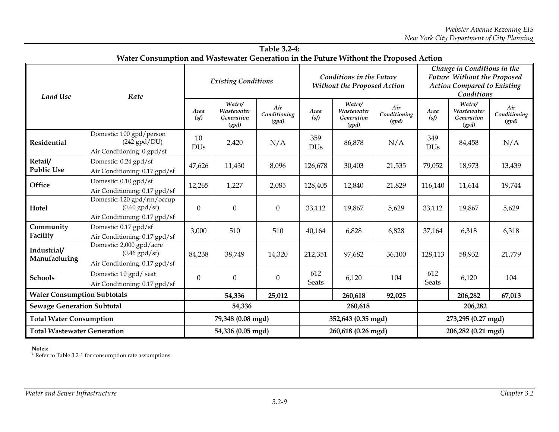|                                    | Water Consumption and Wastewater Generation in the Future Without the Proposed Action |                            |                                             |                              |                                                                |                                             |                              |                                                                                                                |                                             |                              |
|------------------------------------|---------------------------------------------------------------------------------------|----------------------------|---------------------------------------------|------------------------------|----------------------------------------------------------------|---------------------------------------------|------------------------------|----------------------------------------------------------------------------------------------------------------|---------------------------------------------|------------------------------|
| <b>Land Use</b>                    | Rate                                                                                  | <b>Existing Conditions</b> |                                             |                              | <b>Conditions in the Future</b><br>Without the Proposed Action |                                             |                              | Change in Conditions in the<br>Future Without the Proposed<br><b>Action Compared to Existing</b><br>Conditions |                                             |                              |
|                                    |                                                                                       | Area<br>(sf)               | Water/<br>Wastewater<br>Generation<br>(gpd) | Air<br>Conditioning<br>(gpd) | Area<br>(sf)                                                   | Water/<br>Wastewater<br>Generation<br>(gpd) | Air<br>Conditioning<br>(gpd) | Area<br>(sf)                                                                                                   | Water/<br>Wastewater<br>Generation<br>(gpd) | Air<br>Conditioning<br>(gpd) |
| <b>Residential</b>                 | Domestic: 100 gpd/person<br>$(242$ gpd/DU)<br>Air Conditioning: 0 gpd/sf              | 10<br><b>DUs</b>           | 2,420                                       | N/A                          | 359<br><b>DUs</b>                                              | 86,878                                      | N/A                          | 349<br><b>DUs</b>                                                                                              | 84,458                                      | N/A                          |
| Retail/<br><b>Public Use</b>       | Domestic: 0.24 gpd/sf<br>Air Conditioning: 0.17 gpd/sf                                | 47,626                     | 11,430                                      | 8,096                        | 126,678                                                        | 30,403                                      | 21,535                       | 79,052                                                                                                         | 18,973                                      | 13,439                       |
| Office                             | Domestic: 0.10 gpd/sf<br>Air Conditioning: 0.17 gpd/sf                                | 12,265                     | 1,227                                       | 2,085                        | 128,405                                                        | 12,840                                      | 21,829                       | 116,140                                                                                                        | 11,614                                      | 19,744                       |
| Hotel                              | Domestic: 120 gpd/rm/occup<br>$(0.60$ gpd/sf)<br>Air Conditioning: 0.17 gpd/sf        | $\theta$                   | $\Omega$                                    | $\boldsymbol{0}$             | 33,112                                                         | 19,867                                      | 5,629                        | 33,112                                                                                                         | 19,867                                      | 5,629                        |
| Community<br>Facility              | Domestic: 0.17 gpd/sf<br>Air Conditioning: 0.17 gpd/sf                                | 3,000                      | 510                                         | 510                          | 40,164                                                         | 6,828                                       | 6,828                        | 37,164                                                                                                         | 6,318                                       | 6,318                        |
| Industrial/<br>Manufacturing       | Domestic: 2,000 gpd/acre<br>$(0.46$ gpd/sf)<br>Air Conditioning: 0.17 gpd/sf          | 84,238                     | 38,749                                      | 14,320                       | 212,351                                                        | 97,682                                      | 36,100                       | 128,113                                                                                                        | 58,932                                      | 21,779                       |
| <b>Schools</b>                     | Domestic: 10 gpd/ seat<br>Air Conditioning: 0.17 gpd/sf                               | $\theta$                   | $\mathbf{0}$                                | $\boldsymbol{0}$             | 612<br><b>Seats</b>                                            | 6,120                                       | 104                          | 612<br><b>Seats</b>                                                                                            | 6,120                                       | 104                          |
| <b>Water Consumption Subtotals</b> |                                                                                       |                            | 54,336                                      | 25,012                       |                                                                | 260,618                                     | 92,025                       |                                                                                                                | 206,282                                     | 67,013                       |
| <b>Sewage Generation Subtotal</b>  |                                                                                       |                            | 54,336                                      |                              | 260,618                                                        |                                             |                              |                                                                                                                | 206,282                                     |                              |
| <b>Total Water Consumption</b>     |                                                                                       | 79,348 (0.08 mgd)          |                                             | 352,643 (0.35 mgd)           |                                                                |                                             | 273,295 (0.27 mgd)           |                                                                                                                |                                             |                              |
| <b>Total Wastewater Generation</b> |                                                                                       | 54,336 (0.05 mgd)          |                                             | 260,618 (0.26 mgd)           |                                                                |                                             | 206,282 (0.21 mgd)           |                                                                                                                |                                             |                              |

**Table 3.2-4:**

#### **Notes:**

\* Refer to Table 3.2-1 for consumption rate assumptions.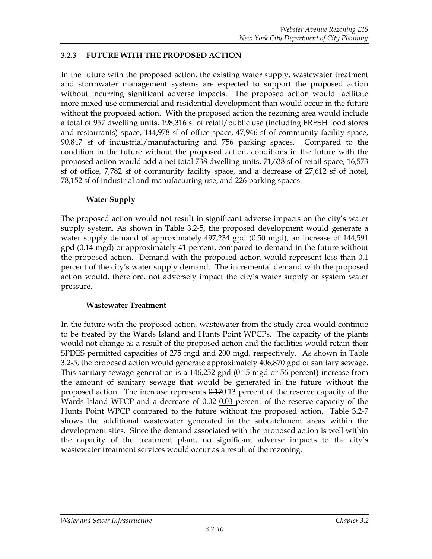## **3.2.3 FUTURE WITH THE PROPOSED ACTION**

In the future with the proposed action, the existing water supply, wastewater treatment and stormwater management systems are expected to support the proposed action without incurring significant adverse impacts. The proposed action would facilitate more mixed-use commercial and residential development than would occur in the future without the proposed action. With the proposed action the rezoning area would include a total of 957 dwelling units, 198,316 sf of retail/public use (including FRESH food stores and restaurants) space, 144,978 sf of office space, 47,946 sf of community facility space, 90,847 sf of industrial/manufacturing and 756 parking spaces. Compared to the condition in the future without the proposed action, conditions in the future with the proposed action would add a net total 738 dwelling units, 71,638 sf of retail space, 16,573 sf of office, 7,782 sf of community facility space, and a decrease of 27,612 sf of hotel, 78,152 sf of industrial and manufacturing use, and 226 parking spaces.

## **Water Supply**

The proposed action would not result in significant adverse impacts on the city's water supply system. As shown in Table 3.2-5, the proposed development would generate a water supply demand of approximately 497,234 gpd (0.50 mgd), an increase of 144,591 gpd (0.14 mgd) or approximately 41 percent, compared to demand in the future without the proposed action. Demand with the proposed action would represent less than 0.1 percent of the city's water supply demand. The incremental demand with the proposed action would, therefore, not adversely impact the city's water supply or system water pressure.

#### **Wastewater Treatment**

In the future with the proposed action, wastewater from the study area would continue to be treated by the Wards Island and Hunts Point WPCPs. The capacity of the plants would not change as a result of the proposed action and the facilities would retain their SPDES permitted capacities of 275 mgd and 200 mgd, respectively. As shown in Table 3.2-5, the proposed action would generate approximately 406,870 gpd of sanitary sewage. This sanitary sewage generation is a 146,252 gpd (0.15 mgd or 56 percent) increase from the amount of sanitary sewage that would be generated in the future without the proposed action. The increase represents  $0.170.13$  percent of the reserve capacity of the Wards Island WPCP and a decrease of 0.02 0.03 percent of the reserve capacity of the Hunts Point WPCP compared to the future without the proposed action. Table 3.2-7 shows the additional wastewater generated in the subcatchment areas within the development sites. Since the demand associated with the proposed action is well within the capacity of the treatment plant, no significant adverse impacts to the city's wastewater treatment services would occur as a result of the rezoning.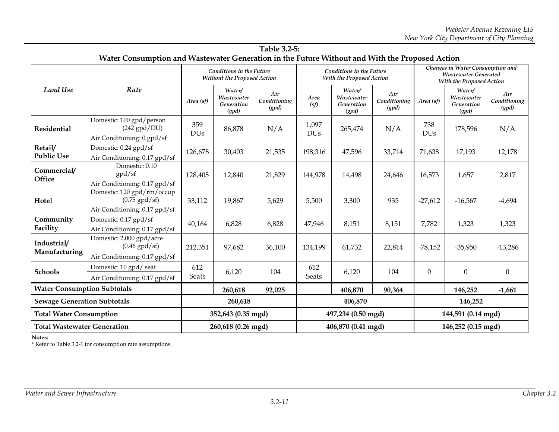|                                    |                                                                                                |                     |                                                                | Table 3.2-5:                 |                                                             |                                             |                              |                                                                                             |                                             |                              |
|------------------------------------|------------------------------------------------------------------------------------------------|---------------------|----------------------------------------------------------------|------------------------------|-------------------------------------------------------------|---------------------------------------------|------------------------------|---------------------------------------------------------------------------------------------|---------------------------------------------|------------------------------|
|                                    | Water Consumption and Wastewater Generation in the Future Without and With the Proposed Action |                     |                                                                |                              |                                                             |                                             |                              |                                                                                             |                                             |                              |
|                                    | Rate                                                                                           |                     | <b>Conditions in the Future</b><br>Without the Proposed Action |                              | <b>Conditions in the Future</b><br>With the Proposed Action |                                             |                              | Changes in Water Consumption and<br><b>Wastewater Generated</b><br>With the Proposed Action |                                             |                              |
| <b>Land Use</b>                    |                                                                                                | Area (sf)           | Water/<br>Wastewater<br>Generation<br>(gpd)                    | Air<br>Conditioning<br>(gpd) | Area<br>(sf)                                                | Water/<br>Wastewater<br>Generation<br>(gpd) | Air<br>Conditioning<br>(gpd) | Area (sf)                                                                                   | Water/<br>Wastewater<br>Generation<br>(gpd) | Air<br>Conditioning<br>(gpd) |
| <b>Residential</b>                 | Domestic: 100 gpd/person<br>$(242$ gpd/DU)<br>Air Conditioning: 0 gpd/sf                       | 359<br><b>DUs</b>   | 86,878                                                         | N/A                          | 1,097<br><b>DUs</b>                                         | 265,474                                     | N/A                          | 738<br><b>DUs</b>                                                                           | 178,596                                     | N/A                          |
| Retail/<br><b>Public Use</b>       | Domestic: 0.24 gpd/sf<br>Air Conditioning: 0.17 gpd/sf                                         | 126,678             | 30,403                                                         | 21,535                       | 198,316                                                     | 47,596                                      | 33,714                       | 71,638                                                                                      | 17,193                                      | 12,178                       |
| Commercial/<br>Office              | Domestic: 0.10<br>gpd/sf<br>Air Conditioning: 0.17 gpd/sf                                      | 128,405             | 12,840                                                         | 21,829                       | 144,978                                                     | 14,498                                      | 24,646                       | 16,573                                                                                      | 1,657                                       | 2,817                        |
| Hotel                              | Domestic: 120 gpd/rm/occup<br>$(0.75$ gpd/sf)<br>Air Conditioning: 0.17 gpd/sf                 | 33,112              | 19,867                                                         | 5,629                        | 5,500                                                       | 3,300                                       | 935                          | $-27,612$                                                                                   | $-16,567$                                   | $-4,694$                     |
| Community<br>Facility              | Domestic: 0.17 gpd/sf<br>Air Conditioning: 0.17 gpd/sf                                         | 40,164              | 6,828                                                          | 6,828                        | 47,946                                                      | 8,151                                       | 8,151                        | 7,782                                                                                       | 1,323                                       | 1,323                        |
| Industrial/<br>Manufacturing       | Domestic: 2,000 gpd/acre<br>$(0.46$ gpd/sf)<br>Air Conditioning: 0.17 gpd/sf                   | 212,351             | 97,682                                                         | 36,100                       | 134,199                                                     | 61,732                                      | 22,814                       | $-78,152$                                                                                   | $-35,950$                                   | $-13,286$                    |
| <b>Schools</b>                     | Domestic: 10 gpd/ seat<br>Air Conditioning: 0.17 gpd/sf                                        | 612<br><b>Seats</b> | 6,120                                                          | 104                          | 612<br><b>Seats</b>                                         | 6,120                                       | 104                          | $\theta$                                                                                    | $\mathbf{0}$                                | $\theta$                     |
| <b>Water Consumption Subtotals</b> |                                                                                                |                     | 260,618                                                        | 92,025                       |                                                             | 406,870                                     | 90,364                       |                                                                                             | 146,252                                     | $-1,661$                     |
| <b>Sewage Generation Subtotals</b> |                                                                                                |                     | 260,618                                                        |                              | 406,870                                                     |                                             |                              |                                                                                             | 146,252                                     |                              |
| <b>Total Water Consumption</b>     |                                                                                                | 352,643 (0.35 mgd)  |                                                                | 497,234 (0.50 mgd)           |                                                             |                                             | 144,591 (0.14 mgd)           |                                                                                             |                                             |                              |
| <b>Total Wastewater Generation</b> |                                                                                                | 260,618 (0.26 mgd)  |                                                                |                              | 406,870 (0.41 mgd)                                          |                                             |                              | 146,252 (0.15 mgd)                                                                          |                                             |                              |

**Notes:**

\* Refer to Table 3.2-1 for consumption rate assumptions.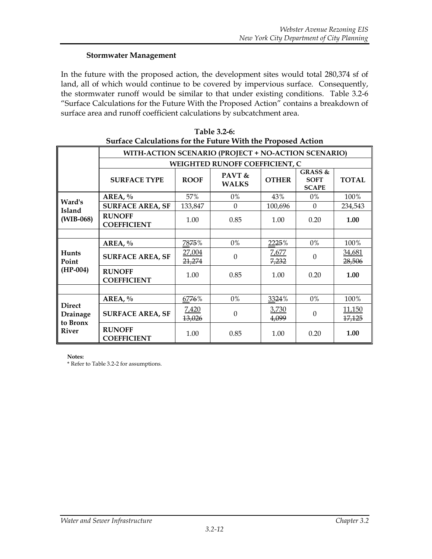## **Stormwater Management**

In the future with the proposed action, the development sites would total 280,374 sf of land, all of which would continue to be covered by impervious surface. Consequently, the stormwater runoff would be similar to that under existing conditions. Table 3.2-6 "Surface Calculations for the Future With the Proposed Action" contains a breakdown of surface area and runoff coefficient calculations by subcatchment area.

| barrace Calculations for the Future With the Froposcu Action |                                                     |                  |                                       |                |                                                   |                         |  |  |  |
|--------------------------------------------------------------|-----------------------------------------------------|------------------|---------------------------------------|----------------|---------------------------------------------------|-------------------------|--|--|--|
|                                                              | WITH-ACTION SCENARIO (PROJECT + NO-ACTION SCENARIO) |                  |                                       |                |                                                   |                         |  |  |  |
|                                                              |                                                     |                  | <b>WEIGHTED RUNOFF COEFFICIENT, C</b> |                |                                                   |                         |  |  |  |
|                                                              | <b>SURFACE TYPE</b>                                 | <b>ROOF</b>      | PAVT &<br><b>WALKS</b>                | <b>OTHER</b>   | <b>GRASS &amp;</b><br><b>SOFT</b><br><b>SCAPE</b> | <b>TOTAL</b>            |  |  |  |
|                                                              | AREA, $\%$                                          | 57%              | $0\%$                                 | 43%            | 0%                                                | 100%                    |  |  |  |
| Ward's<br>Island<br>(WIB-068)                                | <b>SURFACE AREA, SF</b>                             | 133,847          | $\boldsymbol{0}$                      | 100,696        | $\Omega$                                          | 234,543                 |  |  |  |
|                                                              | <b>RUNOFF</b><br><b>COEFFICIENT</b>                 | 1.00             | 0.85                                  | 1.00           | 0.20                                              | 1.00                    |  |  |  |
|                                                              |                                                     |                  |                                       |                |                                                   |                         |  |  |  |
|                                                              | AREA, $\%$                                          | 7875%            | 0%                                    | 2225%          | $0\%$                                             | 100%                    |  |  |  |
| Hunts<br>Point                                               | <b>SURFACE AREA, SF</b>                             | 27,004<br>21,274 | $\mathbf{0}$                          | 7,677<br>7,232 | $\Omega$                                          | <u>34,681</u><br>28,506 |  |  |  |
| $(HP-004)$                                                   | <b>RUNOFF</b><br><b>COEFFICIENT</b>                 | 1.00             | 0.85                                  | 1.00           | 0.20                                              | 1.00                    |  |  |  |
|                                                              |                                                     |                  |                                       |                |                                                   |                         |  |  |  |
|                                                              | AREA, $\%$                                          | 6776%            | $0\%$                                 | 3324%          | 0%                                                | 100%                    |  |  |  |
| <b>Direct</b><br>Drainage                                    | <b>SURFACE AREA, SF</b>                             | 7,420<br>13,026  | $\boldsymbol{0}$                      | 3,730<br>4,099 | $\Omega$                                          | 11,150<br>17,125        |  |  |  |
| to Bronx<br><b>River</b>                                     | <b>RUNOFF</b><br><b>COEFFICIENT</b>                 | 1.00             | 0.85                                  | 1.00           | 0.20                                              | 1.00                    |  |  |  |

| Table 3.2-6:                                                 |
|--------------------------------------------------------------|
| Surface Calculations for the Future With the Proposed Action |

**Notes:**

\* Refer to Table 3.2-2 for assumptions.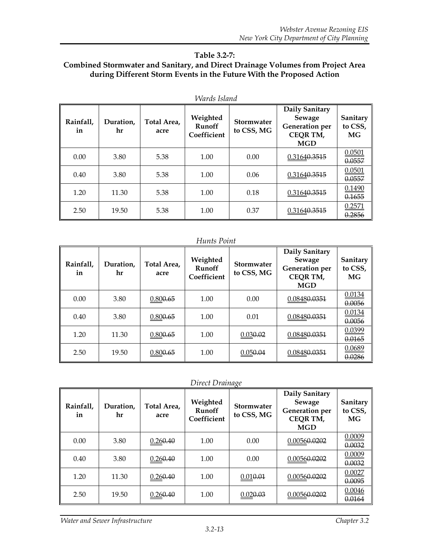#### **Table 3.2-7: Combined Stormwater and Sanitary, and Direct Drainage Volumes from Project Area during Different Storm Events in the Future With the Proposed Action**

|                 | Wards Island    |                     |                                          |                                 |                                                                                    |                                  |  |  |  |  |  |  |
|-----------------|-----------------|---------------------|------------------------------------------|---------------------------------|------------------------------------------------------------------------------------|----------------------------------|--|--|--|--|--|--|
| Rainfall.<br>in | Duration.<br>hr | Total Area.<br>acre | Weighted<br><b>Runoff</b><br>Coefficient | <b>Stormwater</b><br>to CSS, MG | Daily Sanitary<br>Sewage<br><b>Generation</b> per<br><b>CEOR TM,</b><br><b>MGD</b> | Sanitary<br>to CSS,<br><b>MG</b> |  |  |  |  |  |  |
| 0.00            | 3.80            | 5.38                | 1.00                                     | 0.00                            | 0.31640.3515                                                                       | 0.0501<br>0.0557                 |  |  |  |  |  |  |
| 0.40            | 3.80            | 5.38                | 1.00                                     | 0.06                            | 0.31640.3515                                                                       | 0.0501<br>0.0557                 |  |  |  |  |  |  |
| 1.20            | 11.30           | 5.38                | 1.00                                     | 0.18                            | 0.31640.3515                                                                       | 0.1490<br>0.1655                 |  |  |  |  |  |  |
| 2.50            | 19.50           | 5.38                | 1.00                                     | 0.37                            | 0.31640.3515                                                                       | 0.2571<br><u>0.2856</u>          |  |  |  |  |  |  |

#### *Hunts Point*

| Rainfall,<br>in | Duration.<br>hr | Total Area,<br>acre | Weighted<br><b>Runoff</b><br>Coefficient | <b>Stormwater</b><br>to CSS, MG | Daily Sanitary<br>Sewage<br><b>Generation</b> per<br>CEQR TM,<br><b>MGD</b> | Sanitary<br>to CSS,<br><b>MG</b> |
|-----------------|-----------------|---------------------|------------------------------------------|---------------------------------|-----------------------------------------------------------------------------|----------------------------------|
| 0.00            | 3.80            | 0.800.65            | 1.00                                     | 0.00                            | 0.08480.0351                                                                | 0.0134<br>0.0056                 |
| 0.40            | 3.80            | 0.800.65            | 1.00                                     | 0.01                            | 0.0848 <del>0.0351</del>                                                    | 0.0134<br>0.0056                 |
| 1.20            | 11.30           | 0.800.65            | 1.00                                     | 0.030.02                        | 0.08480.0351                                                                | 0.0399<br>0.0165                 |
| 2.50            | 19.50           | 0.800.65            | 1.00                                     | 0.05 <del>0.04</del>            | 0.0848 <del>0.0351</del>                                                    | 0.0689<br>0.0286                 |

*Direct Drainage*

| Rainfall.<br>in | Duration.<br>hr | Total Area.<br>acre  | Weighted<br><b>Runoff</b><br>Coefficient | <b>Stormwater</b><br>to CSS, MG | Daily Sanitary<br>Sewage<br><b>Generation</b> per<br><b>CEQR TM,</b><br><b>MGD</b> | Sanitary<br>to CSS,<br>MG.  |
|-----------------|-----------------|----------------------|------------------------------------------|---------------------------------|------------------------------------------------------------------------------------|-----------------------------|
| 0.00            | 3.80            | 0.26 <del>0.40</del> | 1.00                                     | 0.00                            | 0.00560.0202                                                                       | 0.0009<br>0.0032            |
| 0.40            | 3.80            | 0.260.40             | 1.00                                     | 0.00                            | 0.00560.0202                                                                       | 0.0009<br>0.0032            |
| 1.20            | 11.30           | 0.26 <del>0.40</del> | 1.00                                     | 0.010.01                        | 0.00560.0202                                                                       | 0.0027<br>0.0095            |
| 2.50            | 19.50           | 0.26 <del>0.40</del> | 1.00                                     | 0.020.03                        | 0.0056 <del>0.0202</del>                                                           | 0.0046<br><del>0.0164</del> |

*Water and Sewer Infrastructure Chapter 3.2*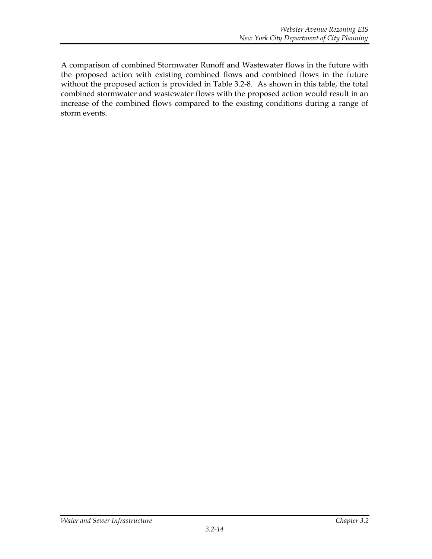A comparison of combined Stormwater Runoff and Wastewater flows in the future with the proposed action with existing combined flows and combined flows in the future without the proposed action is provided in Table 3.2-8. As shown in this table, the total combined stormwater and wastewater flows with the proposed action would result in an increase of the combined flows compared to the existing conditions during a range of storm events.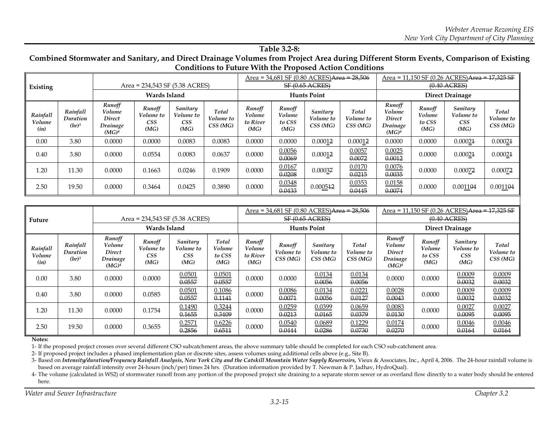#### **Table 3.2-8:**

#### **Combined Stormwater and Sanitary, and Direct Drainage Volumes from Project Area during Different Storm Events, Comparison of Existing Conditions to Future With the Proposed Action Conditions**

| Existing                   |                                  | Area = 234,543 SF (5.38 ACRES)                              |                                    |                                             |                               |                                      |                                    | Area = 34,681 SF (0.80 ACRES) <del>Area = 28,506</del><br><b>SF (0.65 ACRES)</b> |                               | Area = $11,150$ SF (0.26 ACRES)Area = $17,325$ SF<br>$(0.40 \text{ ACRES})$ |                                    |                                             |                               |
|----------------------------|----------------------------------|-------------------------------------------------------------|------------------------------------|---------------------------------------------|-------------------------------|--------------------------------------|------------------------------------|----------------------------------------------------------------------------------|-------------------------------|-----------------------------------------------------------------------------|------------------------------------|---------------------------------------------|-------------------------------|
|                            |                                  | Wards Island                                                |                                    |                                             |                               |                                      |                                    | <b>Hunts Point</b>                                                               |                               | <b>Direct Drainage</b>                                                      |                                    |                                             |                               |
| Rainfall<br>Volume<br>(in) | Rainfall<br>Duration<br>$(hr)^3$ | Runoff<br>Volume<br>Direct<br>Drainage<br>(MG) <sup>4</sup> | Runoff<br>Volume to<br>CSS<br>(MG) | Sanitary<br>Volume to<br><b>CSS</b><br>(MG) | Total<br>Volume to<br>CSS(MG) | Runoff<br>Volume<br>to River<br>(MG) | Runoff<br>Volume<br>to CSS<br>(MG) | Sanitary<br>Volume to<br>CSS(MG)                                                 | Total<br>Volume to<br>CSS(MG) | Runoff<br>Volume<br><b>Direct</b><br>Drainage<br>(MG) <sup>4</sup>          | Runoff<br>Volume<br>to CSS<br>(MG) | Sanitary<br>Volume to<br><b>CSS</b><br>(MG) | Total<br>Volume to<br>CSS(MG) |
| 0.00                       | 3.80                             | 0.0000                                                      | 0.0000                             | 0.0083                                      | 0.0083                        | 0.0000                               | 0.0000                             | 0.00012                                                                          | 0.00012                       | 0.0000                                                                      | 0.0000                             | 0.00021                                     | 0.00021                       |
| 0.40                       | 3.80                             | 0.0000                                                      | 0.0554                             | 0.0083                                      | 0.0637                        | 0.0000                               | 0.0056<br>0.0069                   | 0.00012                                                                          | 0.0057<br>0.0072              | 0.0025<br>0.0012                                                            | 0.0000                             | 0.00021                                     | 0.00021                       |
| 1.20                       | 11.30                            | 0.0000                                                      | 0.1663                             | 0.0246                                      | 0.1909                        | 0.0000                               | 0.0167<br>0.0208                   | 0.00037                                                                          | 0.0170<br>0.0215              | 0.0076<br>0.0035                                                            | 0.0000                             | 0.00072                                     | 0.00072                       |
| 2.50                       | 19.50                            | 0.0000                                                      | 0.3464                             | 0.0425                                      | 0.3890                        | 0.0000                               | 0.0348<br>0.0433                   | 0.000512                                                                         | 0.0353<br>0.0445              | 0.0158<br>0.0074                                                            | 0.0000                             | 0.001104                                    | 0.001104                      |

| Future                     |                                           | Area = 234,543 SF (5.38 ACRES)                              |                                           |                                             |                                   |                                      |                                | Area = 34,681 SF (0.80 ACRES)Area = 28,506<br><b>SF (0.65 ACRES)</b> |                                | Area = 11,150 SF (0.26 ACRES)Area = 17,325 SF<br>$(0.40$ ACRES) |                                    |                                             |                               |
|----------------------------|-------------------------------------------|-------------------------------------------------------------|-------------------------------------------|---------------------------------------------|-----------------------------------|--------------------------------------|--------------------------------|----------------------------------------------------------------------|--------------------------------|-----------------------------------------------------------------|------------------------------------|---------------------------------------------|-------------------------------|
|                            |                                           | <b>Wards Island</b>                                         |                                           |                                             |                                   | <b>Hunts Point</b>                   |                                |                                                                      |                                | <b>Direct Drainage</b>                                          |                                    |                                             |                               |
| Rainfall<br>Volume<br>(in) | Rainfall<br>Duration<br>(hr) <sup>3</sup> | Runoff<br>Volume<br>Direct<br>Drainage<br>(MG) <sup>4</sup> | Runoff<br>Volume to<br><b>CSS</b><br>(MG) | Sanitary<br>Volume to<br><b>CSS</b><br>(MG) | Total<br>Volume<br>to CSS<br>(MG) | Runoff<br>Volume<br>to River<br>(MG) | Runoff<br>Volume to<br>CSS(MG) | Sanitary<br>Volume to<br>CSS(MG)                                     | Total<br>Volume to<br>CSS (MG) | Runoff<br>Volume<br>Direct<br>Drainage<br>(MG) <sup>4</sup>     | Runoff<br>Volume<br>to CSS<br>(MG) | Sanitary<br>Volume to<br><b>CSS</b><br>(MG) | Total<br>Volume to<br>CSS(MG) |
| 0.00                       | 3.80                                      | 0.0000                                                      | 0.0000                                    | 0.0501<br>0.0557                            | 0.0501<br>0.0557                  | 0.0000                               | 0.0000                         | 0.0134<br>0.0056                                                     | 0.0134<br>0.0056               | 0.0000                                                          | 0.0000                             | 0.0009<br>0.0032                            | 0.0009<br>0.0032              |
| 0.40                       | 3.80                                      | 0.0000                                                      | 0.0585                                    | 0.0501<br>0.0557                            | 0.1086<br>0.1141                  | 0.0000                               | 0.0086<br>0.0071               | 0.0134<br>0.0056                                                     | 0.0221<br>0.0127               | 0.0028<br>0.0043                                                | 0.0000                             | 0.0009<br>0.0032                            | 0.0009<br>0.0032              |
| 1.20                       | 11.30                                     | 0.0000                                                      | 0.1754                                    | 0.1490<br>0.1655                            | 0.3244<br>0.3409                  | 0.0000                               | 0.0259<br>0.0213               | 0.0399<br>0.0165                                                     | 0.0659<br>0.0379               | 0.0083<br>0.0130                                                | 0.0000                             | 0.0027<br>0.0095                            | 0.0027<br>0.0095              |
| 2.50                       | 19.50                                     | 0.0000                                                      | 0.3655                                    | 0.2571<br>0.2856                            | 0.6226<br>0.6511                  | 0.0000                               | 0.0540<br>0.0444               | 0.0689<br>0.0286                                                     | 0.1229<br>0.0730               | 0.0174<br>0.0270                                                | 0.0000                             | 0.0046<br>0.0164                            | 0.0046<br>0.0164              |

#### **Notes:**

1- If the proposed project crosses over several different CSO subcatchment areas, the above summary table should be completed for each CSO sub-catchment area.

2- If proposed project includes a phased implementation plan or discrete sites, assess volumes using additional cells above (e.g., Site B).

3- Based on *Intensity/duration/Frequency Rainfall Analysis, New York City and the Catskill Mountain Water Supply Reservoirs, Vieux & Associates, Inc., April 4, 2006. The 24-hour rainfall volume is* based on average rainfall intensity over 24-hours (inch/per) times 24 hrs. (Duration information provided by T. Newman & P. Jadhav, HydroQual).

4- The volume (calculated in WS2) of stormwater runoff from any portion of the proposed project site draining to a separate storm sewer or as overland flow directly to a water body should be entered here.

*Water and Sewer Infrastructure Chapter 3.2*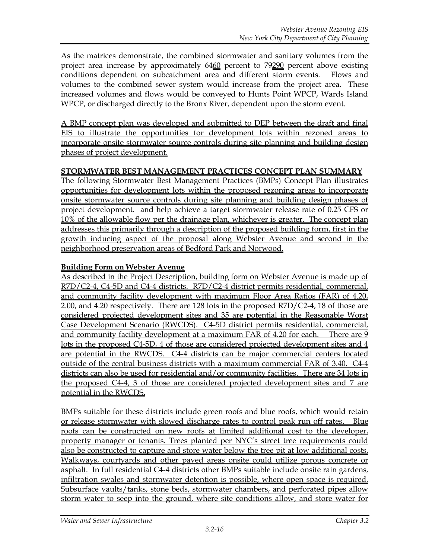As the matrices demonstrate, the combined stormwater and sanitary volumes from the project area increase by approximately 6460 percent to 79290 percent above existing conditions dependent on subcatchment area and different storm events. Flows and volumes to the combined sewer system would increase from the project area. These increased volumes and flows would be conveyed to Hunts Point WPCP, Wards Island WPCP, or discharged directly to the Bronx River, dependent upon the storm event.

A BMP concept plan was developed and submitted to DEP between the draft and final EIS to illustrate the opportunities for development lots within rezoned areas to incorporate onsite stormwater source controls during site planning and building design phases of project development.

#### **STORMWATER BEST MANAGEMENT PRACTICES CONCEPT PLAN SUMMARY**

The following Stormwater Best Management Practices (BMPs) Concept Plan illustrates opportunities for development lots within the proposed rezoning areas to incorporate onsite stormwater source controls during site planning and building design phases of project development. and help achieve a target stormwater release rate of 0.25 CFS or 10% of the allowable flow per the drainage plan, whichever is greater. The concept plan addresses this primarily through a description of the proposed building form, first in the growth inducing aspect of the proposal along Webster Avenue and second in the neighborhood preservation areas of Bedford Park and Norwood.

## **Building Form on Webster Avenue**

As described in the Project Description, building form on Webster Avenue is made up of R7D/C2-4, C4-5D and C4-4 districts. R7D/C2-4 district permits residential, commercial, and community facility development with maximum Floor Area Ratios (FAR) of 4.20, 2.00, and 4.20 respectively. There are 128 lots in the proposed R7D/C2-4, 18 of those are considered projected development sites and 35 are potential in the Reasonable Worst Case Development Scenario (RWCDS). C4-5D district permits residential, commercial, and community facility development at a maximum FAR of 4.20 for each. There are 9 lots in the proposed C4-5D, 4 of those are considered projected development sites and 4 are potential in the RWCDS. C4-4 districts can be major commercial centers located outside of the central business districts with a maximum commercial FAR of 3.40. C4-4 districts can also be used for residential and/or community facilities. There are 34 lots in the proposed C4-4, 3 of those are considered projected development sites and 7 are potential in the RWCDS.

BMPs suitable for these districts include green roofs and blue roofs, which would retain or release stormwater with slowed discharge rates to control peak run off rates. Blue roofs can be constructed on new roofs at limited additional cost to the developer, property manager or tenants. Trees planted per NYC's street tree requirements could also be constructed to capture and store water below the tree pit at low additional costs. Walkways, courtyards and other paved areas onsite could utilize porous concrete or asphalt. In full residential C4-4 districts other BMPs suitable include onsite rain gardens, infiltration swales and stormwater detention is possible, where open space is required. Subsurface vaults/tanks, stone beds, stormwater chambers, and perforated pipes allow storm water to seep into the ground, where site conditions allow, and store water for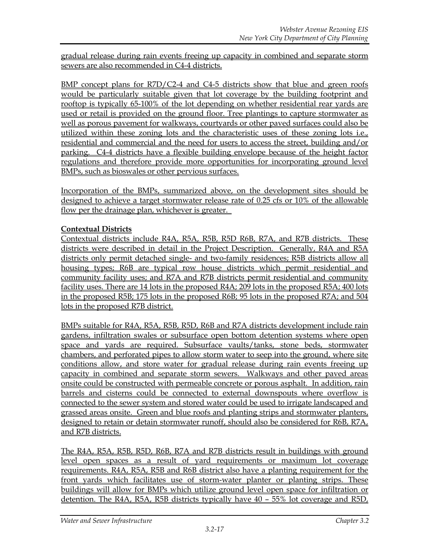gradual release during rain events freeing up capacity in combined and separate storm sewers are also recommended in C4-4 districts.

BMP concept plans for R7D/C2-4 and C4-5 districts show that blue and green roofs would be particularly suitable given that lot coverage by the building footprint and rooftop is typically 65-100% of the lot depending on whether residential rear yards are used or retail is provided on the ground floor. Tree plantings to capture stormwater as well as porous pavement for walkways, courtyards or other paved surfaces could also be utilized within these zoning lots and the characteristic uses of these zoning lots i.e., residential and commercial and the need for users to access the street, building and/or parking. C4-4 districts have a flexible building envelope because of the height factor regulations and therefore provide more opportunities for incorporating ground level BMPs, such as bioswales or other pervious surfaces.

Incorporation of the BMPs, summarized above, on the development sites should be designed to achieve a target stormwater release rate of 0.25 cfs or 10% of the allowable flow per the drainage plan, whichever is greater.

# **Contextual Districts**

Contextual districts include R4A, R5A, R5B, R5D R6B, R7A, and R7B districts. These districts were described in detail in the Project Description. Generally, R4A and R5A districts only permit detached single- and two-family residences; R5B districts allow all housing types; R6B are typical row house districts which permit residential and community facility uses; and R7A and R7B districts permit residential and community facility uses. There are 14 lots in the proposed R4A; 209 lots in the proposed R5A; 400 lots in the proposed R5B; 175 lots in the proposed R6B; 95 lots in the proposed R7A; and 504 lots in the proposed R7B district.

BMPs suitable for R4A, R5A, R5B, R5D, R6B and R7A districts development include rain gardens, infiltration swales or subsurface open bottom detention systems where open space and yards are required. Subsurface vaults/tanks, stone beds, stormwater chambers, and perforated pipes to allow storm water to seep into the ground, where site conditions allow, and store water for gradual release during rain events freeing up capacity in combined and separate storm sewers. Walkways and other paved areas onsite could be constructed with permeable concrete or porous asphalt. In addition, rain barrels and cisterns could be connected to external downspouts where overflow is connected to the sewer system and stored water could be used to irrigate landscaped and grassed areas onsite. Green and blue roofs and planting strips and stormwater planters, designed to retain or detain stormwater runoff, should also be considered for R6B, R7A, and R7B districts.

The R4A, R5A, R5B, R5D, R6B, R7A and R7B districts result in buildings with ground level open spaces as a result of yard requirements or maximum lot coverage requirements. R4A, R5A, R5B and R6B district also have a planting requirement for the front yards which facilitates use of storm-water planter or planting strips. These buildings will allow for BMPs which utilize ground level open space for infiltration or detention. The R4A, R5A, R5B districts typically have 40 – 55% lot coverage and R5D,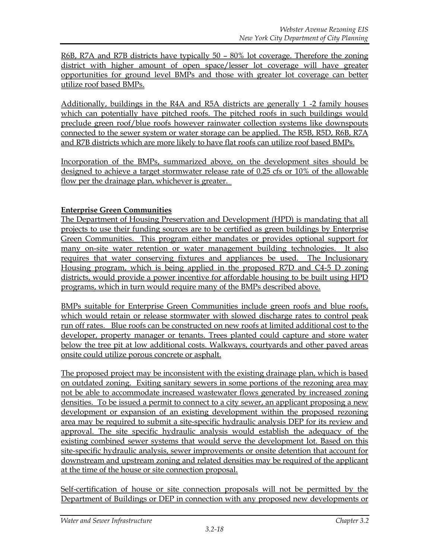R6B, R7A and R7B districts have typically 50 – 80% lot coverage. Therefore the zoning district with higher amount of open space/lesser lot coverage will have greater opportunities for ground level BMPs and those with greater lot coverage can better utilize roof based BMPs.

Additionally, buildings in the R4A and R5A districts are generally 1 -2 family houses which can potentially have pitched roofs. The pitched roofs in such buildings would preclude green roof/blue roofs however rainwater collection systems like downspouts connected to the sewer system or water storage can be applied. The R5B, R5D, R6B, R7A and R7B districts which are more likely to have flat roofs can utilize roof based BMPs.

Incorporation of the BMPs, summarized above, on the development sites should be designed to achieve a target stormwater release rate of 0.25 cfs or 10% of the allowable flow per the drainage plan, whichever is greater.

## **Enterprise Green Communities**

The Department of Housing Preservation and Development (HPD) is mandating that all projects to use their funding sources are to be certified as green buildings by Enterprise Green Communities. This program either mandates or provides optional support for many on-site water retention or water management building technologies. It also requires that water conserving fixtures and appliances be used. The Inclusionary Housing program, which is being applied in the proposed R7D and C4-5 D zoning districts, would provide a power incentive for affordable housing to be built using HPD programs, which in turn would require many of the BMPs described above.

BMPs suitable for Enterprise Green Communities include green roofs and blue roofs, which would retain or release stormwater with slowed discharge rates to control peak run off rates. Blue roofs can be constructed on new roofs at limited additional cost to the developer, property manager or tenants. Trees planted could capture and store water below the tree pit at low additional costs. Walkways, courtyards and other paved areas onsite could utilize porous concrete or asphalt.

The proposed project may be inconsistent with the existing drainage plan, which is based on outdated zoning. Exiting sanitary sewers in some portions of the rezoning area may not be able to accommodate increased wastewater flows generated by increased zoning densities. To be issued a permit to connect to a city sewer, an applicant proposing a new development or expansion of an existing development within the proposed rezoning area may be required to submit a site-specific hydraulic analysis DEP for its review and approval. The site specific hydraulic analysis would establish the adequacy of the existing combined sewer systems that would serve the development lot. Based on this site-specific hydraulic analysis, sewer improvements or onsite detention that account for downstream and upstream zoning and related densities may be required of the applicant at the time of the house or site connection proposal.

Self-certification of house or site connection proposals will not be permitted by the Department of Buildings or DEP in connection with any proposed new developments or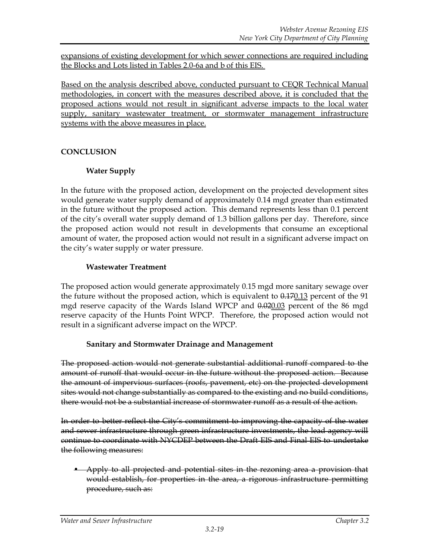expansions of existing development for which sewer connections are required including the Blocks and Lots listed in Tables 2.0-6a and b of this EIS.

Based on the analysis described above, conducted pursuant to CEQR Technical Manual methodologies, in concert with the measures described above, it is concluded that the proposed actions would not result in significant adverse impacts to the local water supply, sanitary wastewater treatment, or stormwater management infrastructure systems with the above measures in place.

# **CONCLUSION**

# **Water Supply**

In the future with the proposed action, development on the projected development sites would generate water supply demand of approximately 0.14 mgd greater than estimated in the future without the proposed action. This demand represents less than 0.1 percent of the city's overall water supply demand of 1.3 billion gallons per day. Therefore, since the proposed action would not result in developments that consume an exceptional amount of water, the proposed action would not result in a significant adverse impact on the city's water supply or water pressure.

# **Wastewater Treatment**

The proposed action would generate approximately 0.15 mgd more sanitary sewage over the future without the proposed action, which is equivalent to  $0.17013$  percent of the 91 mgd reserve capacity of the Wards Island WPCP and  $0.02003$  percent of the 86 mgd reserve capacity of the Hunts Point WPCP. Therefore, the proposed action would not result in a significant adverse impact on the WPCP.

# **Sanitary and Stormwater Drainage and Management**

The proposed action would not generate substantial additional runoff compared to the amount of runoff that would occur in the future without the proposed action. Because the amount of impervious surfaces (roofs, pavement, etc) on the projected development sites would not change substantially as compared to the existing and no build conditions, there would not be a substantial increase of stormwater runoff as a result of the action.

In order to better reflect the City's commitment to improving the capacity of the water and sewer infrastructure through green infrastructure investments, the lead agency will continue to coordinate with NYCDEP between the Draft EIS and Final EIS to undertake the following measures:

• Apply to all projected and potential sites in the rezoning area a provision that would establish, for properties in the area, a rigorous infrastructure permitting procedure, such as: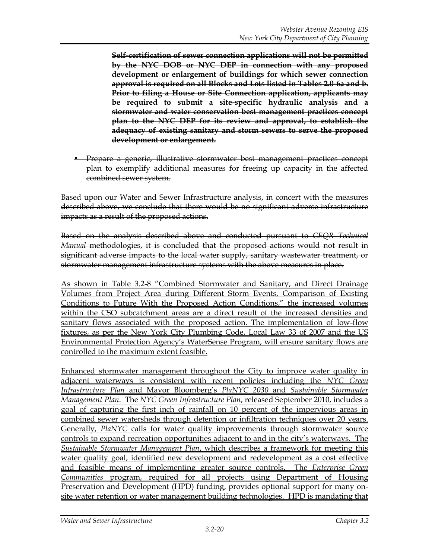**Self-certification of sewer connection applications will not be permitted by the NYC DOB or NYC DEP in connection with any proposed development or enlargement of buildings for which sewer connection approval is required on all Blocks and Lots listed in Tables 2.0-6a and b. Prior to filing a House or Site Connection application, applicants may be required to submit a site-specific hydraulic analysis and a stormwater and water conservation best management practices concept plan to the NYC DEP for its review and approval, to establish the adequacy of existing sanitary and storm sewers to serve the proposed development or enlargement.**

• Prepare a generic, illustrative stormwater best management practices concept plan to exemplify additional measures for freeing up capacity in the affected combined sewer system.

Based upon our Water and Sewer Infrastructure analysis, in concert with the measures described above, we conclude that there would be no significant adverse infrastructure impacts as a result of the proposed actions.

Based on the analysis described above and conducted pursuant to *CEQR Technical Manual* methodologies, it is concluded that the proposed actions would not result in significant adverse impacts to the local water supply, sanitary wastewater treatment, or stormwater management infrastructure systems with the above measures in place.

As shown in Table 3.2-8 "Combined Stormwater and Sanitary, and Direct Drainage Volumes from Project Area during Different Storm Events, Comparison of Existing Conditions to Future With the Proposed Action Conditions," the increased volumes within the CSO subcatchment areas are a direct result of the increased densities and sanitary flows associated with the proposed action. The implementation of low-flow fixtures, as per the New York City Plumbing Code, Local Law 33 of 2007 and the US Environmental Protection Agency's WaterSense Program, will ensure sanitary flows are controlled to the maximum extent feasible.

Enhanced stormwater management throughout the City to improve water quality in adjacent waterways is consistent with recent policies including the *NYC Green Infrastructure Plan* and Mayor Bloomberg's *PlaNYC 2030* and *Sustainable Stormwater Management Plan*. The *NYC Green Infrastructure Plan*, released September 2010, includes a goal of capturing the first inch of rainfall on 10 percent of the impervious areas in combined sewer watersheds through detention or infiltration techniques over 20 years. Generally, *PlaNYC* calls for water quality improvements through stormwater source controls to expand recreation opportunities adjacent to and in the city's waterways. The *Sustainable Stormwater Management Plan*, which describes a framework for meeting this water quality goal, identified new development and redevelopment as a cost effective and feasible means of implementing greater source controls. The *Enterprise Green Communities* program, required for all projects using Department of Housing Preservation and Development (HPD) funding, provides optional support for many onsite water retention or water management building technologies. HPD is mandating that